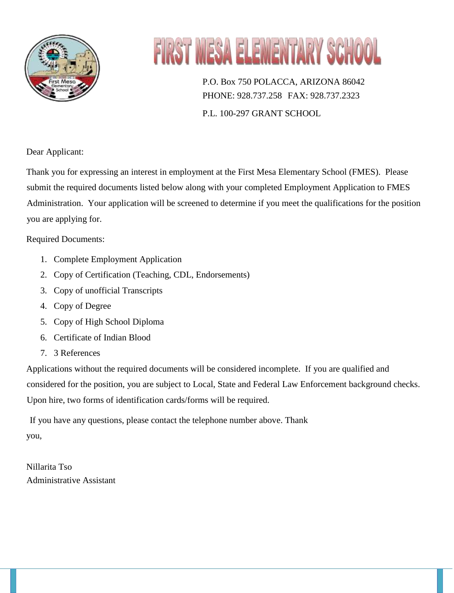

# FIRST MESA ELEMENTARY SCHO

P.O. Box 750 POLACCA, ARIZONA 86042 PHONE: 928.737.258 FAX: 928.737.2323 P.L. 100-297 GRANT SCHOOL

Dear Applicant:

Thank you for expressing an interest in employment at the First Mesa Elementary School (FMES). Please submit the required documents listed below along with your completed Employment Application to FMES Administration. Your application will be screened to determine if you meet the qualifications for the position you are applying for.

# Required Documents:

- 1. Complete Employment Application
- 2. Copy of Certification (Teaching, CDL, Endorsements)
- 3. Copy of unofficial Transcripts
- 4. Copy of Degree
- 5. Copy of High School Diploma
- 6. Certificate of Indian Blood
- 7. 3 References

Applications without the required documents will be considered incomplete. If you are qualified and considered for the position, you are subject to Local, State and Federal Law Enforcement background checks. Upon hire, two forms of identification cards/forms will be required.

If you have any questions, please contact the telephone number above. Thank you,

Nillarita Tso Administrative Assistant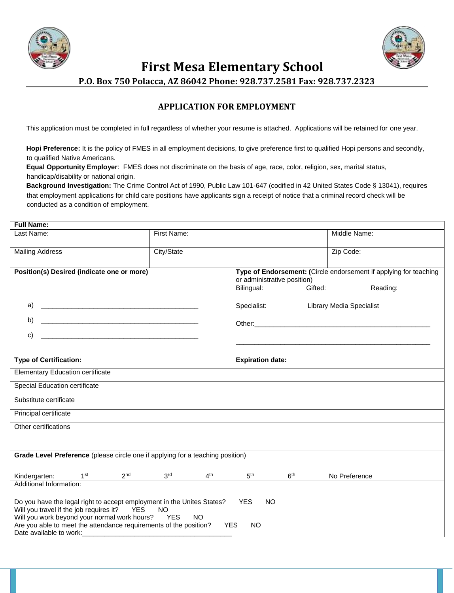



 **First Mesa Elementary School** 

**P.O. Box 750 Polacca, AZ 86042 Phone: 928.737.2581 Fax: 928.737.2323** 

## **APPLICATION FOR EMPLOYMENT**

This application must be completed in full regardless of whether your resume is attached. Applications will be retained for one year.

**Hopi Preference:** It is the policy of FMES in all employment decisions, to give preference first to qualified Hopi persons and secondly, to qualified Native Americans.

**Equal Opportunity Employer**: FMES does not discriminate on the basis of age, race, color, religion, sex, marital status, handicap/disability or national origin.

**Background Investigation:** The Crime Control Act of 1990, Public Law 101-647 (codified in 42 United States Code § 13041), requires that employment applications for child care positions have applicants sign a receipt of notice that a criminal record check will be conducted as a condition of employment.

| <b>Full Name:</b>                                                                                                                                                                                                                                                         |                                                                                                                                                          |                 |                             |                 |                                                                   |  |
|---------------------------------------------------------------------------------------------------------------------------------------------------------------------------------------------------------------------------------------------------------------------------|----------------------------------------------------------------------------------------------------------------------------------------------------------|-----------------|-----------------------------|-----------------|-------------------------------------------------------------------|--|
| Last Name:                                                                                                                                                                                                                                                                | First Name:                                                                                                                                              |                 |                             |                 | Middle Name:                                                      |  |
| <b>Mailing Address</b>                                                                                                                                                                                                                                                    | City/State                                                                                                                                               |                 |                             |                 | Zip Code:                                                         |  |
| Position(s) Desired (indicate one or more)                                                                                                                                                                                                                                |                                                                                                                                                          |                 | or administrative position) |                 | Type of Endorsement: (Circle endorsement if applying for teaching |  |
|                                                                                                                                                                                                                                                                           |                                                                                                                                                          |                 | Bilingual:                  | Gifted:         | Reading:                                                          |  |
|                                                                                                                                                                                                                                                                           |                                                                                                                                                          |                 | Specialist:                 |                 | <b>Library Media Specialist</b>                                   |  |
| b)                                                                                                                                                                                                                                                                        |                                                                                                                                                          |                 |                             |                 |                                                                   |  |
| c)                                                                                                                                                                                                                                                                        |                                                                                                                                                          |                 |                             |                 |                                                                   |  |
|                                                                                                                                                                                                                                                                           |                                                                                                                                                          |                 |                             |                 |                                                                   |  |
| <b>Type of Certification:</b>                                                                                                                                                                                                                                             |                                                                                                                                                          |                 | <b>Expiration date:</b>     |                 |                                                                   |  |
| <b>Elementary Education certificate</b>                                                                                                                                                                                                                                   |                                                                                                                                                          |                 |                             |                 |                                                                   |  |
| <b>Special Education certificate</b>                                                                                                                                                                                                                                      |                                                                                                                                                          |                 |                             |                 |                                                                   |  |
| Substitute certificate                                                                                                                                                                                                                                                    |                                                                                                                                                          |                 |                             |                 |                                                                   |  |
| Principal certificate                                                                                                                                                                                                                                                     |                                                                                                                                                          |                 |                             |                 |                                                                   |  |
| Other certifications                                                                                                                                                                                                                                                      |                                                                                                                                                          |                 |                             |                 |                                                                   |  |
|                                                                                                                                                                                                                                                                           |                                                                                                                                                          |                 |                             |                 |                                                                   |  |
| Grade Level Preference (please circle one if applying for a teaching position)                                                                                                                                                                                            |                                                                                                                                                          |                 |                             |                 |                                                                   |  |
| 1 <sup>st</sup><br>Kindergarten:                                                                                                                                                                                                                                          | 3 <sup>rd</sup><br>2 <sup>nd</sup>                                                                                                                       | 4 <sup>th</sup> | 5 <sup>th</sup>             | 6 <sup>th</sup> | No Preference                                                     |  |
| Additional Information:                                                                                                                                                                                                                                                   |                                                                                                                                                          |                 |                             |                 |                                                                   |  |
| Do you have the legal right to accept employment in the Unites States? YES<br>Will you travel if the job requires it?<br>Will you work beyond your normal work hours?<br>Are you able to meet the attendance requirements of the position? YES<br>Date available to work: | YES<br><b>NO</b><br><b>YES</b><br><u> 1989 - Johann John Harry Harry Harry Harry Harry Harry Harry Harry Harry Harry Harry Harry Harry Harry Harry H</u> | NO.             | <b>NO</b><br><b>NO</b>      |                 |                                                                   |  |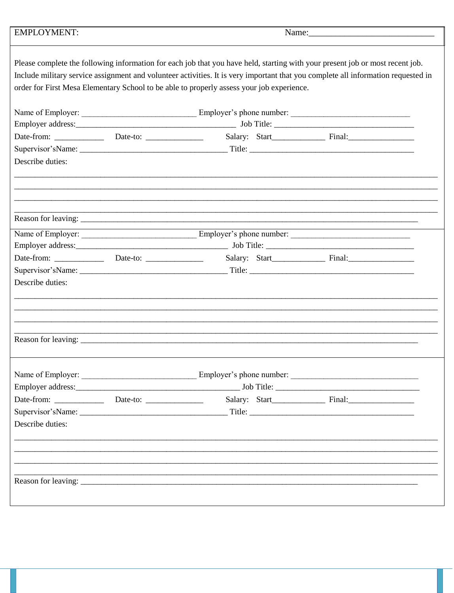| <b>EMPLOYMENT:</b>                                                                                                                                                                                                                                                                                                                                              |  | Name: 2008 - 2008 - 2010 - 2010 - 2010 - 2010 - 2010 - 2010 - 2010 - 2010 - 2010 - 2010 - 2010 - 2010 - 2010 - 2010 - 2010 - 2010 - 2010 - 2010 - 2010 - 2010 - 2010 - 2010 - 2010 - 2010 - 2010 - 2010 - 2010 - 2010 - 2010 - |  |  |  |
|-----------------------------------------------------------------------------------------------------------------------------------------------------------------------------------------------------------------------------------------------------------------------------------------------------------------------------------------------------------------|--|--------------------------------------------------------------------------------------------------------------------------------------------------------------------------------------------------------------------------------|--|--|--|
| Please complete the following information for each job that you have held, starting with your present job or most recent job.<br>Include military service assignment and volunteer activities. It is very important that you complete all information requested in<br>order for First Mesa Elementary School to be able to properly assess your job experience. |  |                                                                                                                                                                                                                                |  |  |  |
|                                                                                                                                                                                                                                                                                                                                                                 |  |                                                                                                                                                                                                                                |  |  |  |
|                                                                                                                                                                                                                                                                                                                                                                 |  |                                                                                                                                                                                                                                |  |  |  |
|                                                                                                                                                                                                                                                                                                                                                                 |  |                                                                                                                                                                                                                                |  |  |  |
|                                                                                                                                                                                                                                                                                                                                                                 |  |                                                                                                                                                                                                                                |  |  |  |
| Describe duties:                                                                                                                                                                                                                                                                                                                                                |  |                                                                                                                                                                                                                                |  |  |  |
|                                                                                                                                                                                                                                                                                                                                                                 |  |                                                                                                                                                                                                                                |  |  |  |
|                                                                                                                                                                                                                                                                                                                                                                 |  |                                                                                                                                                                                                                                |  |  |  |
|                                                                                                                                                                                                                                                                                                                                                                 |  |                                                                                                                                                                                                                                |  |  |  |
|                                                                                                                                                                                                                                                                                                                                                                 |  |                                                                                                                                                                                                                                |  |  |  |
|                                                                                                                                                                                                                                                                                                                                                                 |  |                                                                                                                                                                                                                                |  |  |  |
|                                                                                                                                                                                                                                                                                                                                                                 |  |                                                                                                                                                                                                                                |  |  |  |
|                                                                                                                                                                                                                                                                                                                                                                 |  |                                                                                                                                                                                                                                |  |  |  |
| Describe duties:                                                                                                                                                                                                                                                                                                                                                |  |                                                                                                                                                                                                                                |  |  |  |
|                                                                                                                                                                                                                                                                                                                                                                 |  |                                                                                                                                                                                                                                |  |  |  |
|                                                                                                                                                                                                                                                                                                                                                                 |  |                                                                                                                                                                                                                                |  |  |  |
|                                                                                                                                                                                                                                                                                                                                                                 |  |                                                                                                                                                                                                                                |  |  |  |
|                                                                                                                                                                                                                                                                                                                                                                 |  |                                                                                                                                                                                                                                |  |  |  |
|                                                                                                                                                                                                                                                                                                                                                                 |  |                                                                                                                                                                                                                                |  |  |  |
|                                                                                                                                                                                                                                                                                                                                                                 |  |                                                                                                                                                                                                                                |  |  |  |
|                                                                                                                                                                                                                                                                                                                                                                 |  |                                                                                                                                                                                                                                |  |  |  |
|                                                                                                                                                                                                                                                                                                                                                                 |  |                                                                                                                                                                                                                                |  |  |  |
| Describe duties:                                                                                                                                                                                                                                                                                                                                                |  |                                                                                                                                                                                                                                |  |  |  |
|                                                                                                                                                                                                                                                                                                                                                                 |  |                                                                                                                                                                                                                                |  |  |  |
|                                                                                                                                                                                                                                                                                                                                                                 |  |                                                                                                                                                                                                                                |  |  |  |
|                                                                                                                                                                                                                                                                                                                                                                 |  |                                                                                                                                                                                                                                |  |  |  |
|                                                                                                                                                                                                                                                                                                                                                                 |  |                                                                                                                                                                                                                                |  |  |  |
|                                                                                                                                                                                                                                                                                                                                                                 |  |                                                                                                                                                                                                                                |  |  |  |
|                                                                                                                                                                                                                                                                                                                                                                 |  |                                                                                                                                                                                                                                |  |  |  |
|                                                                                                                                                                                                                                                                                                                                                                 |  |                                                                                                                                                                                                                                |  |  |  |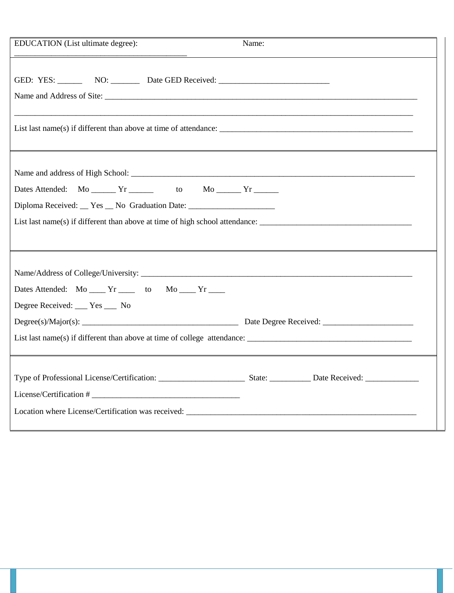| EDUCATION (List ultimate degree):                                                                                  | Name: |  |  |  |
|--------------------------------------------------------------------------------------------------------------------|-------|--|--|--|
|                                                                                                                    |       |  |  |  |
| GED: YES: NO: NO: Date GED Received: No: 2008                                                                      |       |  |  |  |
|                                                                                                                    |       |  |  |  |
|                                                                                                                    |       |  |  |  |
| List last name(s) if different than above at time of attendance: $\frac{1}{\sqrt{1-\frac{1}{n}}}\left\{ x\right\}$ |       |  |  |  |
|                                                                                                                    |       |  |  |  |
|                                                                                                                    |       |  |  |  |
| Dates Attended: Mo ______ Yr _______ to Mo ______ Yr ______                                                        |       |  |  |  |
| Diploma Received: _ Yes _ No Graduation Date: ___________________________________                                  |       |  |  |  |
|                                                                                                                    |       |  |  |  |
|                                                                                                                    |       |  |  |  |
|                                                                                                                    |       |  |  |  |
|                                                                                                                    |       |  |  |  |
| Dates Attended: Mo _____ Yr _____ to Mo ____ Yr ____                                                               |       |  |  |  |
| Degree Received: ___ Yes ___ No                                                                                    |       |  |  |  |
|                                                                                                                    |       |  |  |  |
|                                                                                                                    |       |  |  |  |
|                                                                                                                    |       |  |  |  |
|                                                                                                                    |       |  |  |  |
|                                                                                                                    |       |  |  |  |
|                                                                                                                    |       |  |  |  |
|                                                                                                                    |       |  |  |  |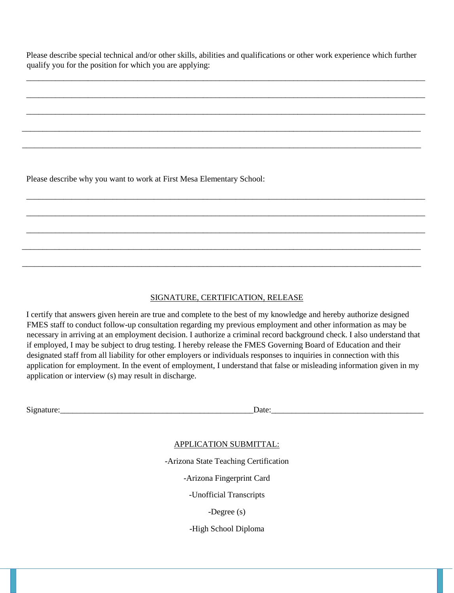Please describe special technical and/or other skills, abilities and qualifications or other work experience which further qualify you for the position for which you are applying:

\_\_\_\_\_\_\_\_\_\_\_\_\_\_\_\_\_\_\_\_\_\_\_\_\_\_\_\_\_\_\_\_\_\_\_\_\_\_\_\_\_\_\_\_\_\_\_\_\_\_\_\_\_\_\_\_\_\_\_\_\_\_\_\_\_\_\_\_\_\_\_\_\_\_\_\_\_\_\_\_\_\_\_\_\_\_\_\_\_\_\_\_\_\_\_\_\_

\_\_\_\_\_\_\_\_\_\_\_\_\_\_\_\_\_\_\_\_\_\_\_\_\_\_\_\_\_\_\_\_\_\_\_\_\_\_\_\_\_\_\_\_\_\_\_\_\_\_\_\_\_\_\_\_\_\_\_\_\_\_\_\_\_\_\_\_\_\_\_\_\_\_\_\_\_\_\_\_\_\_\_\_\_\_\_\_\_\_\_\_\_\_\_\_\_

\_\_\_\_\_\_\_\_\_\_\_\_\_\_\_\_\_\_\_\_\_\_\_\_\_\_\_\_\_\_\_\_\_\_\_\_\_\_\_\_\_\_\_\_\_\_\_\_\_\_\_\_\_\_\_\_\_\_\_\_\_\_\_\_\_\_\_\_\_\_\_\_\_\_\_\_\_\_\_\_\_\_\_\_\_\_\_\_\_\_\_\_\_\_\_\_\_

\_\_\_\_\_\_\_\_\_\_\_\_\_\_\_\_\_\_\_\_\_\_\_\_\_\_\_\_\_\_\_\_\_\_\_\_\_\_\_\_\_\_\_\_\_\_\_\_\_\_\_\_\_\_\_\_\_\_\_\_\_\_\_\_\_\_\_\_\_\_\_\_\_\_\_\_\_\_\_\_\_\_\_\_\_\_\_\_\_\_\_\_\_\_\_\_\_

\_\_\_\_\_\_\_\_\_\_\_\_\_\_\_\_\_\_\_\_\_\_\_\_\_\_\_\_\_\_\_\_\_\_\_\_\_\_\_\_\_\_\_\_\_\_\_\_\_\_\_\_\_\_\_\_\_\_\_\_\_\_\_\_\_\_\_\_\_\_\_\_\_\_\_\_\_\_\_\_\_\_\_\_\_\_\_\_\_\_\_\_\_\_\_\_\_

\_\_\_\_\_\_\_\_\_\_\_\_\_\_\_\_\_\_\_\_\_\_\_\_\_\_\_\_\_\_\_\_\_\_\_\_\_\_\_\_\_\_\_\_\_\_\_\_\_\_\_\_\_\_\_\_\_\_\_\_\_\_\_\_\_\_\_\_\_\_\_\_\_\_\_\_\_\_\_\_\_\_\_\_\_\_\_\_\_\_\_\_\_\_\_\_\_

\_\_\_\_\_\_\_\_\_\_\_\_\_\_\_\_\_\_\_\_\_\_\_\_\_\_\_\_\_\_\_\_\_\_\_\_\_\_\_\_\_\_\_\_\_\_\_\_\_\_\_\_\_\_\_\_\_\_\_\_\_\_\_\_\_\_\_\_\_\_\_\_\_\_\_\_\_\_\_\_\_\_\_\_\_\_\_\_\_\_\_\_\_\_\_\_\_

\_\_\_\_\_\_\_\_\_\_\_\_\_\_\_\_\_\_\_\_\_\_\_\_\_\_\_\_\_\_\_\_\_\_\_\_\_\_\_\_\_\_\_\_\_\_\_\_\_\_\_\_\_\_\_\_\_\_\_\_\_\_\_\_\_\_\_\_\_\_\_\_\_\_\_\_\_\_\_\_\_\_\_\_\_\_\_\_\_\_\_\_\_\_\_\_\_

\_\_\_\_\_\_\_\_\_\_\_\_\_\_\_\_\_\_\_\_\_\_\_\_\_\_\_\_\_\_\_\_\_\_\_\_\_\_\_\_\_\_\_\_\_\_\_\_\_\_\_\_\_\_\_\_\_\_\_\_\_\_\_\_\_\_\_\_\_\_\_\_\_\_\_\_\_\_\_\_\_\_\_\_\_\_\_\_\_\_\_\_\_\_\_\_\_

\_\_\_\_\_\_\_\_\_\_\_\_\_\_\_\_\_\_\_\_\_\_\_\_\_\_\_\_\_\_\_\_\_\_\_\_\_\_\_\_\_\_\_\_\_\_\_\_\_\_\_\_\_\_\_\_\_\_\_\_\_\_\_\_\_\_\_\_\_\_\_\_\_\_\_\_\_\_\_\_\_\_\_\_\_\_\_\_\_\_\_\_\_\_\_\_\_

Please describe why you want to work at First Mesa Elementary School:

### SIGNATURE, CERTIFICATION, RELEASE

I certify that answers given herein are true and complete to the best of my knowledge and hereby authorize designed FMES staff to conduct follow-up consultation regarding my previous employment and other information as may be necessary in arriving at an employment decision. I authorize a criminal record background check. I also understand that if employed, I may be subject to drug testing. I hereby release the FMES Governing Board of Education and their designated staff from all liability for other employers or individuals responses to inquiries in connection with this application for employment. In the event of employment, I understand that false or misleading information given in my application or interview (s) may result in discharge.

Signature:\_\_\_\_\_\_\_\_\_\_\_\_\_\_\_\_\_\_\_\_\_\_\_\_\_\_\_\_\_\_\_\_\_\_\_\_\_\_\_\_\_\_\_\_\_\_\_Date:\_\_\_\_\_\_\_\_\_\_\_\_\_\_\_\_\_\_\_\_\_\_\_\_\_\_\_\_\_\_\_\_\_\_\_\_\_

#### APPLICATION SUBMITTAL:

-Arizona State Teaching Certification

-Arizona Fingerprint Card

-Unofficial Transcripts

-Degree (s)

-High School Diploma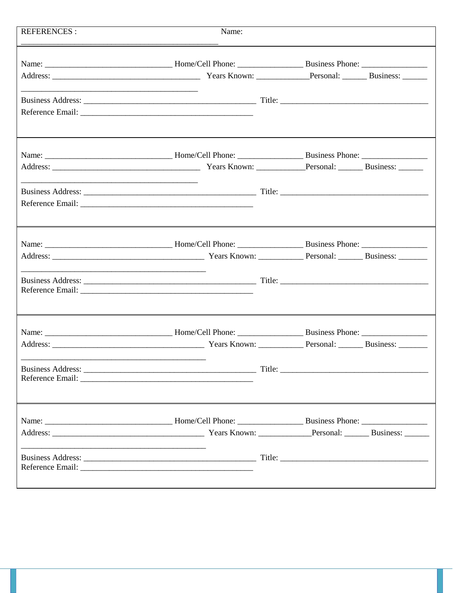| <b>REFERENCES:</b>                                          | Name: |  |
|-------------------------------------------------------------|-------|--|
|                                                             |       |  |
|                                                             |       |  |
|                                                             |       |  |
|                                                             |       |  |
|                                                             |       |  |
|                                                             |       |  |
|                                                             |       |  |
| <u> 1990 - Jan James Sand, amerikansk politik (d. 1989)</u> |       |  |
|                                                             |       |  |
|                                                             |       |  |
|                                                             |       |  |
|                                                             |       |  |
|                                                             |       |  |
|                                                             |       |  |
|                                                             |       |  |
|                                                             |       |  |
|                                                             |       |  |
|                                                             |       |  |
|                                                             |       |  |
|                                                             |       |  |
|                                                             |       |  |
|                                                             |       |  |
|                                                             |       |  |
|                                                             |       |  |
|                                                             |       |  |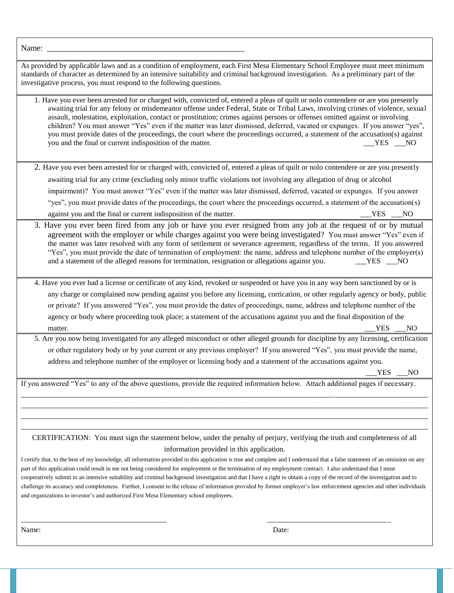| Name:                                                                                                                                                                                                                                                                                                                                                                                                                                                                                                                                                                                                                                                                                                                                                                                        |
|----------------------------------------------------------------------------------------------------------------------------------------------------------------------------------------------------------------------------------------------------------------------------------------------------------------------------------------------------------------------------------------------------------------------------------------------------------------------------------------------------------------------------------------------------------------------------------------------------------------------------------------------------------------------------------------------------------------------------------------------------------------------------------------------|
| As provided by applicable laws and as a condition of employment, each First Mesa Elementary School Employee must meet minimum<br>standards of character as determined by an intensive suitability and criminal background investigation. As a preliminary part of the<br>investigative process, you must respond to the following questions.                                                                                                                                                                                                                                                                                                                                                                                                                                                 |
| 1. Have you ever been arrested for or charged with, convicted of, entered a pleas of quilt or nolo contendere or are you presently<br>awaiting trial for any felony or misdemeanor offense under Federal, State or Tribal Laws, involving crimes of violence, sexual<br>assault, molestation, exploitation, contact or prostitution; crimes against persons or offenses omitted against or involving<br>children? You must answer "Yes" even if the matter was later dismissed, deferred, vacated or expunges. If you answer "yes",<br>you must provide dates of the proceedings, the court where the proceedings occurred, a statement of the accusation(s) against<br>you and the final or current indisposition of the matter.<br>YES NO                                                  |
| 2. Have you ever been arrested for or charged with, convicted of, entered a pleas of quilt or nolo contendere or are you presently                                                                                                                                                                                                                                                                                                                                                                                                                                                                                                                                                                                                                                                           |
| awaiting trial for any crime (excluding only minor traffic violations not involving any allegation of drug or alcohol                                                                                                                                                                                                                                                                                                                                                                                                                                                                                                                                                                                                                                                                        |
| impairment)? You must answer "Yes" even if the matter was later dismissed, deferred, vacated or expunges. If you answer                                                                                                                                                                                                                                                                                                                                                                                                                                                                                                                                                                                                                                                                      |
| "yes", you must provide dates of the proceedings, the court where the proceedings occurred, a statement of the accusation(s)                                                                                                                                                                                                                                                                                                                                                                                                                                                                                                                                                                                                                                                                 |
| against you and the final or current indisposition of the matter.<br>YES NO                                                                                                                                                                                                                                                                                                                                                                                                                                                                                                                                                                                                                                                                                                                  |
| 3. Have you ever been fired from any job or have you ever resigned from any job at the request of or by mutual<br>agreement with the employer or while charges against you were being investigated? You must answer "Yes" even if<br>the matter was later resolved with any form of settlement or severance agreement, regardless of the terms. If you answered<br>"Yes", you must provide the date of termination of employment: the name, address and telephone number of the employer(s)<br>and a statement of the alleged reasons for termination, resignation or allegations against you.<br>$YES$ NO                                                                                                                                                                                   |
| 4. Have you ever had a license or certificate of any kind, revoked or suspended or have you in any way been sanctioned by or is                                                                                                                                                                                                                                                                                                                                                                                                                                                                                                                                                                                                                                                              |
| any charge or complained now pending against you before any licensing, cortication, or other regularly agency or body, public                                                                                                                                                                                                                                                                                                                                                                                                                                                                                                                                                                                                                                                                |
| or private? If you answered "Yes", you must provide the dates of proceedings, name, address and telephone number of the                                                                                                                                                                                                                                                                                                                                                                                                                                                                                                                                                                                                                                                                      |
| agency or body where proceeding took place; a statement of the accusations against you and the final disposition of the<br><b>YES</b>                                                                                                                                                                                                                                                                                                                                                                                                                                                                                                                                                                                                                                                        |
| NO_<br>matter.<br>5. Are you now being investigated for any alleged misconduct or other alleged grounds for discipline by any licensing, certification                                                                                                                                                                                                                                                                                                                                                                                                                                                                                                                                                                                                                                       |
| or other regulatory body or by your current or any previous employer? If you answered "Yes", you must provide the name,                                                                                                                                                                                                                                                                                                                                                                                                                                                                                                                                                                                                                                                                      |
| address and telephone number of the employer or licensing body and a statement of the accusations against you.                                                                                                                                                                                                                                                                                                                                                                                                                                                                                                                                                                                                                                                                               |
| <b>YES</b><br>N <sub>O</sub>                                                                                                                                                                                                                                                                                                                                                                                                                                                                                                                                                                                                                                                                                                                                                                 |
| If you answered "Yes" to any of the above questions, provide the required information below. Attach additional pages if necessary.                                                                                                                                                                                                                                                                                                                                                                                                                                                                                                                                                                                                                                                           |
|                                                                                                                                                                                                                                                                                                                                                                                                                                                                                                                                                                                                                                                                                                                                                                                              |
|                                                                                                                                                                                                                                                                                                                                                                                                                                                                                                                                                                                                                                                                                                                                                                                              |
|                                                                                                                                                                                                                                                                                                                                                                                                                                                                                                                                                                                                                                                                                                                                                                                              |
| CERTIFICATION: You must sign the statement below, under the penalty of perjury, verifying the truth and completeness of all                                                                                                                                                                                                                                                                                                                                                                                                                                                                                                                                                                                                                                                                  |
| information provided in this application.                                                                                                                                                                                                                                                                                                                                                                                                                                                                                                                                                                                                                                                                                                                                                    |
| I certify that, to the best of my knowledge, all information provided in this application is true and complete and I understand that a false statement of an omission on any<br>part of this application could result in me not being considered for employment or the termination of my employment contract. I also understand that I must<br>cooperatively submit to an intensive suitability and criminal background investigation and that I have a right to obtain a copy of the record of the investigation and to<br>challenge its accuracy and completeness. Further, I consent to the release of information provided by former employer's law enforcement agencies and other individuals<br>and organizations to investor's and authorized First Mesa Elementary school employees. |
|                                                                                                                                                                                                                                                                                                                                                                                                                                                                                                                                                                                                                                                                                                                                                                                              |

\_\_\_\_\_\_\_\_\_\_\_\_\_\_\_\_\_\_\_\_\_\_\_\_\_\_\_\_\_\_\_\_\_\_\_\_\_\_\_ \_\_\_\_\_\_\_\_\_\_\_\_\_\_\_\_\_\_\_\_\_\_\_\_\_\_\_\_\_\_\_\_\_

Name: Date: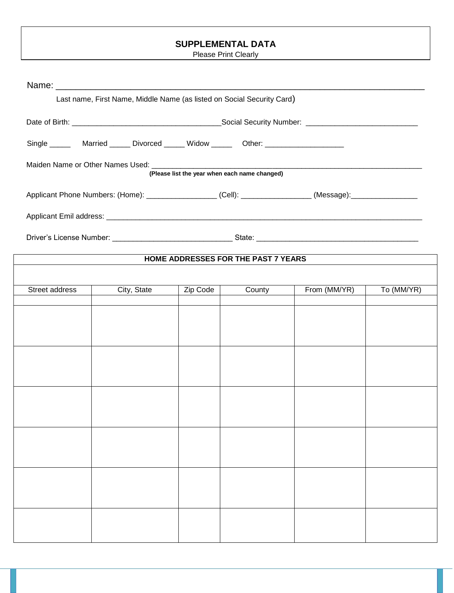# **SUPPLEMENTAL DATA**

Please Print Clearly

|                | Last name, First Name, Middle Name (as listed on Social Security Card)                                     |          |                                               |              |            |  |
|----------------|------------------------------------------------------------------------------------------------------------|----------|-----------------------------------------------|--------------|------------|--|
|                |                                                                                                            |          |                                               |              |            |  |
|                | Single _______ Married ______ Divorced ______ Widow ______ Other: _______________                          |          |                                               |              |            |  |
|                |                                                                                                            |          | (Please list the year when each name changed) |              |            |  |
|                | Applicant Phone Numbers: (Home): ____________________(Cell): ________________(Message): __________________ |          |                                               |              |            |  |
|                |                                                                                                            |          |                                               |              |            |  |
|                |                                                                                                            |          |                                               |              |            |  |
|                |                                                                                                            |          | HOME ADDRESSES FOR THE PAST 7 YEARS           |              |            |  |
|                |                                                                                                            |          |                                               |              |            |  |
| Street address | City, State                                                                                                | Zip Code | County                                        | From (MM/YR) | To (MM/YR) |  |
|                |                                                                                                            |          |                                               |              |            |  |
|                |                                                                                                            |          |                                               |              |            |  |
|                |                                                                                                            |          |                                               |              |            |  |
|                |                                                                                                            |          |                                               |              |            |  |
|                |                                                                                                            |          |                                               |              |            |  |
|                |                                                                                                            |          |                                               |              |            |  |
|                |                                                                                                            |          |                                               |              |            |  |
|                |                                                                                                            |          |                                               |              |            |  |
|                |                                                                                                            |          |                                               |              |            |  |
|                |                                                                                                            |          |                                               |              |            |  |
|                |                                                                                                            |          |                                               |              |            |  |
|                |                                                                                                            |          |                                               |              |            |  |
|                |                                                                                                            |          |                                               |              |            |  |
|                |                                                                                                            |          |                                               |              |            |  |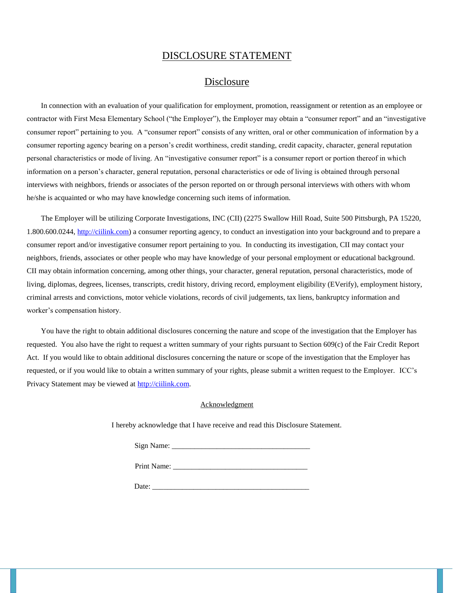#### DISCLOSURE STATEMENT

#### Disclosure

In connection with an evaluation of your qualification for employment, promotion, reassignment or retention as an employee or contractor with First Mesa Elementary School ("the Employer"), the Employer may obtain a "consumer report" and an "investigative consumer report" pertaining to you. A "consumer report" consists of any written, oral or other communication of information by a consumer reporting agency bearing on a person's credit worthiness, credit standing, credit capacity, character, general reputation personal characteristics or mode of living. An "investigative consumer report" is a consumer report or portion thereof in which information on a person's character, general reputation, personal characteristics or ode of living is obtained through personal interviews with neighbors, friends or associates of the person reported on or through personal interviews with others with whom he/she is acquainted or who may have knowledge concerning such items of information.

The Employer will be utilizing Corporate Investigations, INC (CII) (2275 Swallow Hill Road, Suite 500 Pittsburgh, PA 15220, 1.800.600.0244, [http://ciilink.com\)](http://ciilink.com/) a consumer reporting agency, to conduct an investigation into your background and to prepare a consumer report and/or investigative consumer report pertaining to you. In conducting its investigation, CII may contact your neighbors, friends, associates or other people who may have knowledge of your personal employment or educational background. CII may obtain information concerning, among other things, your character, general reputation, personal characteristics, mode of living, diplomas, degrees, licenses, transcripts, credit history, driving record, employment eligibility (EVerify), employment history, criminal arrests and convictions, motor vehicle violations, records of civil judgements, tax liens, bankruptcy information and worker's compensation history.

You have the right to obtain additional disclosures concerning the nature and scope of the investigation that the Employer has requested. You also have the right to request a written summary of your rights pursuant to Section 609(c) of the Fair Credit Report Act. If you would like to obtain additional disclosures concerning the nature or scope of the investigation that the Employer has requested, or if you would like to obtain a written summary of your rights, please submit a written request to the Employer. ICC's Privacy Statement may be viewed at [http://ciilink.com.](http://ciilink.com/) 

#### Acknowledgment

I hereby acknowledge that I have receive and read this Disclosure Statement.

| Sign Name: |  |
|------------|--|
|            |  |

Print Name: Date: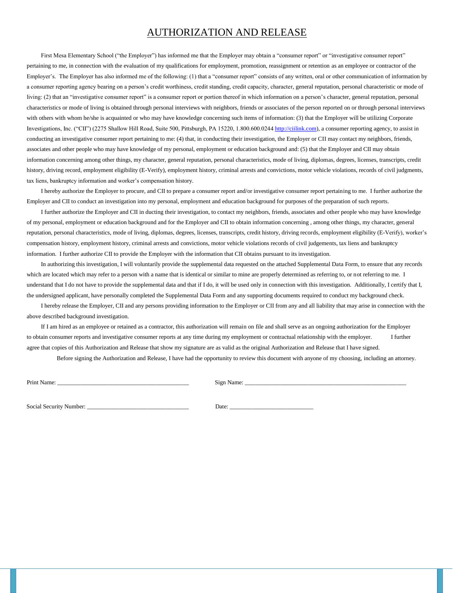# AUTHORIZATION AND RELEASE

First Mesa Elementary School ("the Employer") has informed me that the Employer may obtain a "consumer report" or "investigative consumer report" pertaining to me, in connection with the evaluation of my qualifications for employment, promotion, reassignment or retention as an employee or contractor of the Employer's. The Employer has also informed me of the following: (1) that a "consumer report" consists of any written, oral or other communication of information by a consumer reporting agency bearing on a person's credit worthiness, credit standing, credit capacity, character, general reputation, personal characteristic or mode of living: (2) that an "investigative consumer report" is a consumer report or portion thereof in which information on a person's character, general reputation, personal characteristics or mode of living is obtained through personal interviews with neighbors, friends or associates of the person reported on or through personal interviews with others with whom he/she is acquainted or who may have knowledge concerning such items of information: (3) that the Employer will be utilizing Corporate Investigations, Inc. ("CII") (2275 Shallow Hill Road, Suite 500, Pittsburgh, PA 15220, 1.800.600.02[44 http://ciilink.com\),](http://ciilink.com/) a consumer reporting agency, to assist in conducting an investigative consumer report pertaining to me: (4) that, in conducting their investigation, the Employer or CII may contact my neighbors, friends, associates and other people who may have knowledge of my personal, employment or education background and: (5) that the Employer and CII may obtain information concerning among other things, my character, general reputation, personal characteristics, mode of living, diplomas, degrees, licenses, transcripts, credit history, driving record, employment eligibility (E-Verify), employment history, criminal arrests and convictions, motor vehicle violations, records of civil judgments, tax liens, bankruptcy information and worker's compensation history.

I hereby authorize the Employer to procure, and CII to prepare a consumer report and/or investigative consumer report pertaining to me. I further authorize the Employer and CII to conduct an investigation into my personal, employment and education background for purposes of the preparation of such reports.

I further authorize the Employer and CII in ducting their investigation, to contact my neighbors, friends, associates and other people who may have knowledge of my personal, employment or education background and for the Employer and CII to obtain information concerning , among other things, my character, general reputation, personal characteristics, mode of living, diplomas, degrees, licenses, transcripts, credit history, driving records, employment eligibility (E-Verify), worker's compensation history, employment history, criminal arrests and convictions, motor vehicle violations records of civil judgements, tax liens and bankruptcy information. I further authorize CII to provide the Employer with the information that CII obtains pursuant to its investigation.

In authorizing this investigation, I will voluntarily provide the supplemental data requested on the attached Supplemental Data Form, to ensure that any records which are located which may refer to a person with a name that is identical or similar to mine are properly determined as referring to, or not referring to me. I understand that I do not have to provide the supplemental data and that if I do, it will be used only in connection with this investigation. Additionally, I certify that I, the undersigned applicant, have personally completed the Supplemental Data Form and any supporting documents required to conduct my background check.

I hereby release the Employer, CII and any persons providing information to the Employer or CII from any and all liability that may arise in connection with the above described background investigation.

If I am hired as an employee or retained as a contractor, this authorization will remain on file and shall serve as an ongoing authorization for the Employer to obtain consumer reports and investigative consumer reports at any time during my employment or contractual relationship with the employer. I further agree that copies of this Authorization and Release that show my signature are as valid as the original Authorization and Release that I have signed.

Before signing the Authorization and Release, I have had the opportunity to review this document with anyone of my choosing, including an attorney.

Print Name: \_\_\_\_\_\_\_\_\_\_\_\_\_\_\_\_\_\_\_\_\_\_\_\_\_\_\_\_\_\_\_\_\_\_\_\_\_\_\_\_\_\_\_\_ Sign Name: \_\_\_\_\_\_\_\_\_\_\_\_\_\_\_\_\_\_\_\_\_\_\_\_\_\_\_\_\_\_\_\_\_\_\_\_\_\_\_\_\_\_\_\_\_\_\_\_\_\_\_\_\_\_

Social Security Number: \_\_\_\_\_\_\_\_\_\_\_\_\_\_\_\_\_\_\_\_\_\_\_\_\_\_\_\_\_\_\_\_\_\_ Date: \_\_\_\_\_\_\_\_\_\_\_\_\_\_\_\_\_\_\_\_\_\_\_\_\_\_\_\_